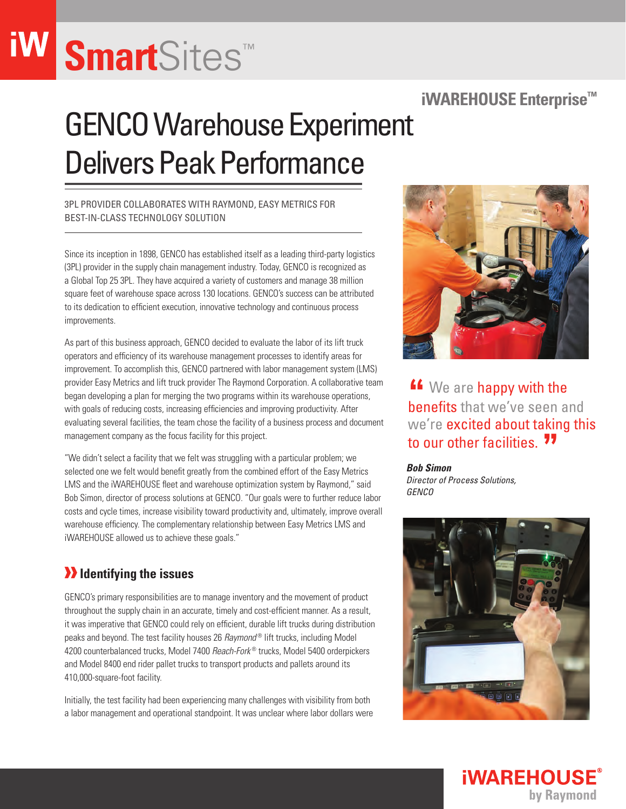# **Smart**Sites™

### **iWAREHOUSE Enterprise™**

### **GENCO Warehouse Experiment** Delivers Peak Performance

3PL provider collaborates with Raymond, Easy Metrics for best-in-class technology solution

Since its inception in 1898, GENCO has established itself as a leading third-party logistics (3PL) provider in the supply chain management industry. Today, GENCO is recognized as a Global Top 25 3PL. They have acquired a variety of customers and manage 38 million square feet of warehouse space across 130 locations. GENCO's success can be attributed to its dedication to efficient execution, innovative technology and continuous process improvements.

As part of this business approach, GENCO decided to evaluate the labor of its lift truck operators and efficiency of its warehouse management processes to identify areas for improvement. To accomplish this, GENCO partnered with labor management system (LMS) provider Easy Metrics and lift truck provider The Raymond Corporation. A collaborative team began developing a plan for merging the two programs within its warehouse operations, with goals of reducing costs, increasing efficiencies and improving productivity. After evaluating several facilities, the team chose the facility of a business process and document management company as the focus facility for this project.

"We didn't select a facility that we felt was struggling with a particular problem; we selected one we felt would benefit greatly from the combined effort of the Easy Metrics LMS and the iWAREHOUSE fleet and warehouse optimization system by Raymond," said Bob Simon, director of process solutions at GENCO. "Our goals were to further reduce labor costs and cycle times, increase visibility toward productivity and, ultimately, improve overall warehouse efficiency. The complementary relationship between Easy Metrics LMS and iWAREHOUSE allowed us to achieve these goals."

### *I* Identifying the issues

GENCO's primary responsibilities are to manage inventory and the movement of product throughout the supply chain in an accurate, timely and cost-efficient manner. As a result, it was imperative that GENCO could rely on efficient, durable lift trucks during distribution peaks and beyond. The test facility houses 26 *Raymond®* lift trucks, including Model 4200 counterbalanced trucks, Model 7400 *Reach-Fork®* trucks, Model 5400 orderpickers and Model 8400 end rider pallet trucks to transport products and pallets around its 410,000-square-foot facility.

Initially, the test facility had been experiencing many challenges with visibility from both a labor management and operational standpoint. It was unclear where labor dollars were



**"** We are happy with the benefits that we've seen and we're excited about taking this to our other facilities.**"**

*Bob Simon* 

*Director of Process Solutions, GENCO*



**iWAREHOUSE** 

by Raymond